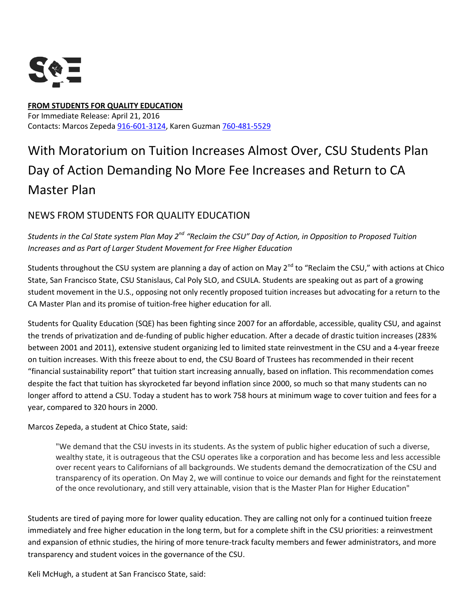

## **FROM STUDENTS FOR QUALITY EDUCATION** For Immediate Release: April 21, 2016 Contacts: Marcos Zepeda [916-601-3124,](tel:916-601-3124) Karen Guzman [760-481-5529](tel:760-481-5529)

## With Moratorium on Tuition Increases Almost Over, CSU Students Plan Day of Action Demanding No More Fee Increases and Return to CA Master Plan

## NEWS FROM STUDENTS FOR QUALITY EDUCATION

## *Students in the Cal State system Plan May 2nd "Reclaim the CSU" Day of Action, in Opposition to Proposed Tuition Increases and as Part of Larger Student Movement for Free Higher Education*

Students throughout the CSU system are planning a day of action on May 2<sup>nd</sup> to "Reclaim the CSU," with actions at Chico State, San Francisco State, CSU Stanislaus, Cal Poly SLO, and CSULA. Students are speaking out as part of a growing student movement in the U.S., opposing not only recently proposed tuition increases but advocating for a return to the CA Master Plan and its promise of tuition-free higher education for all.

Students for Quality Education (SQE) has been fighting since 2007 for an affordable, accessible, quality CSU, and against the trends of privatization and de-funding of public higher education. After a decade of drastic tuition increases (283% between 2001 and 2011), extensive student organizing led to limited state reinvestment in the CSU and a 4-year freeze on tuition increases. With this freeze about to end, the CSU Board of Trustees has recommended in their recent "financial sustainability report" that tuition start increasing annually, based on inflation. This recommendation comes despite the fact that tuition has skyrocketed far beyond inflation since 2000, so much so that many students can no longer afford to attend a CSU. Today a student has to work 758 hours at minimum wage to cover tuition and fees for a year, compared to 320 hours in 2000.

Marcos Zepeda, a student at Chico State, said:

"We demand that the CSU invests in its students. As the system of public higher education of such a diverse, wealthy state, it is outrageous that the CSU operates like a corporation and has become less and less accessible over recent years to Californians of all backgrounds. We students demand the democratization of the CSU and transparency of its operation. On May 2, we will continue to voice our demands and fight for the reinstatement of the once revolutionary, and still very attainable, vision that is the Master Plan for Higher Education"

Students are tired of paying more for lower quality education. They are calling not only for a continued tuition freeze immediately and free higher education in the long term, but for a complete shift in the CSU priorities: a reinvestment and expansion of ethnic studies, the hiring of more tenure-track faculty members and fewer administrators, and more transparency and student voices in the governance of the CSU.

Keli McHugh, a student at San Francisco State, said: